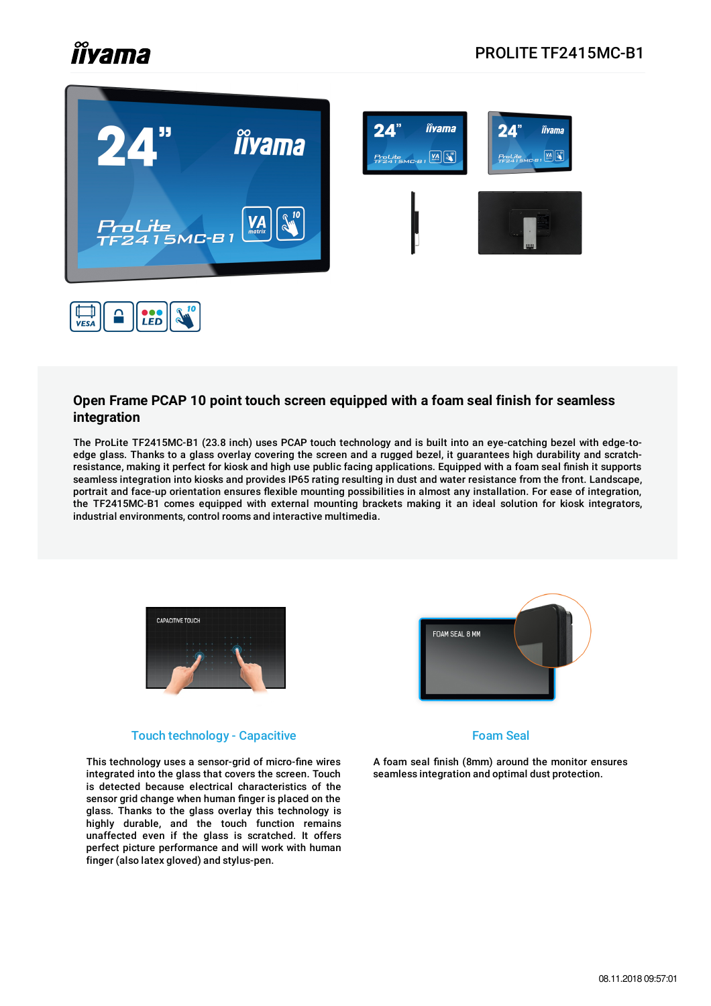# *îîyama*



#### **Open Frame PCAP 10 point touch screen equipped with a foam seal finish for seamless integration**

The ProLite TF2415MC-B1 (23.8 inch) uses PCAP touch technology and is built into an eye-catching bezel with edge-toedge glass. Thanks to a glass overlay covering the screen and a rugged bezel, it guarantees high durability and scratchresistance, making it perfect for kiosk and high use public facing applications. Equipped with a foam seal finish it supports seamless integration into kiosks and provides IP65 rating resulting in dust and water resistance from the front. Landscape, portrait and face-up orientation ensures flexible mounting possibilities in almost any installation. For ease of integration, the TF2415MC-B1 comes equipped with external mounting brackets making it an ideal solution for kiosk integrators, industrial environments, control rooms and interactive multimedia.



#### Touch technology - Capacitive

This technology uses a sensor-grid of micro-fine wires integrated into the glass that covers the screen. Touch is detected because electrical characteristics of the sensor grid change when human finger is placed on the glass. Thanks to the glass overlay this technology is highly durable, and the touch function remains unaffected even if the glass is scratched. It offers perfect picture performance and will work with human finger (also latex gloved) and stylus-pen.



#### Foam Seal

A foam seal finish (8mm) around the monitor ensures seamless integration and optimal dust protection.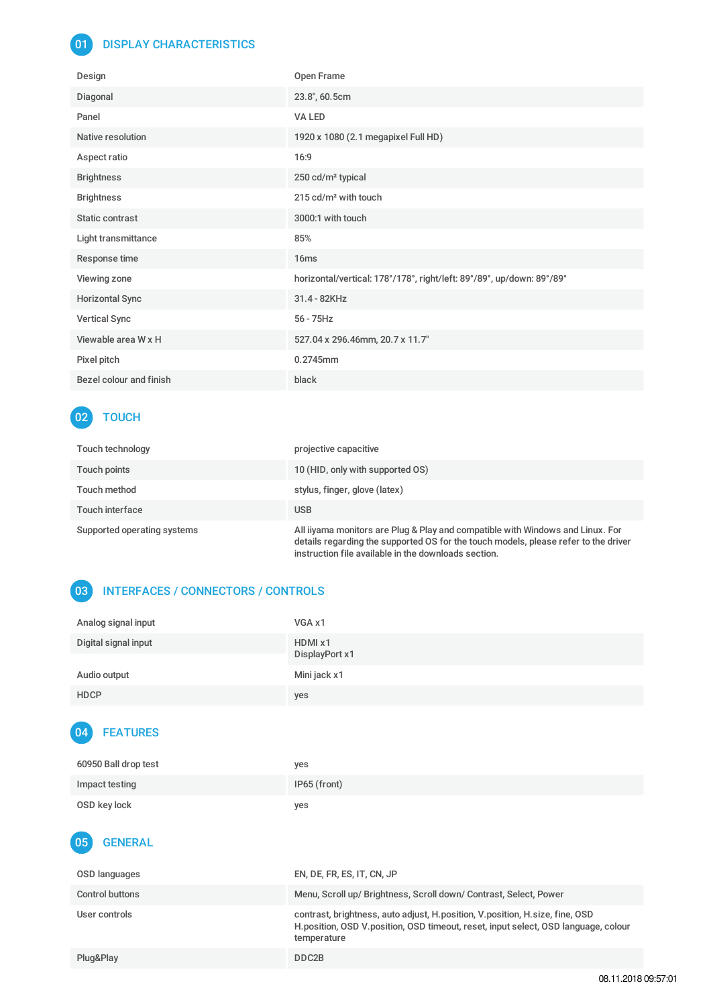#### 01 DISPLAY CHARACTERISTICS

| Design                  | Open Frame                                                            |
|-------------------------|-----------------------------------------------------------------------|
| Diagonal                | 23.8", 60.5cm                                                         |
| Panel                   | VA LED                                                                |
| Native resolution       | 1920 x 1080 (2.1 megapixel Full HD)                                   |
| Aspect ratio            | 16:9                                                                  |
| <b>Brightness</b>       | 250 cd/m <sup>2</sup> typical                                         |
| <b>Brightness</b>       | 215 cd/m <sup>2</sup> with touch                                      |
| Static contrast         | 3000:1 with touch                                                     |
| Light transmittance     | 85%                                                                   |
| Response time           | 16 <sub>ms</sub>                                                      |
| Viewing zone            | horizontal/vertical: 178°/178°, right/left: 89°/89°, up/down: 89°/89° |
| <b>Horizontal Sync</b>  | 31.4 - 82KHz                                                          |
| <b>Vertical Sync</b>    | $56 - 75$ Hz                                                          |
| Viewable area W x H     | 527.04 x 296.46mm, 20.7 x 11.7"                                       |
| Pixel pitch             | 0.2745mm                                                              |
| Bezel colour and finish | black                                                                 |

## 02 TOUCH

| <b>Touch technology</b>     | projective capacitive                                                                                                                                                                                                         |
|-----------------------------|-------------------------------------------------------------------------------------------------------------------------------------------------------------------------------------------------------------------------------|
| Touch points                | 10 (HID, only with supported OS)                                                                                                                                                                                              |
| Touch method                | stylus, finger, glove (latex)                                                                                                                                                                                                 |
| Touch interface             | <b>USB</b>                                                                                                                                                                                                                    |
| Supported operating systems | All iiyama monitors are Plug & Play and compatible with Windows and Linux. For<br>details regarding the supported OS for the touch models, please refer to the driver<br>instruction file available in the downloads section. |

### 03 INTERFACES / CONNECTORS / CONTROLS

| Analog signal input  | VGA x1                    |
|----------------------|---------------------------|
| Digital signal input | HDMI x1<br>DisplayPort x1 |
| Audio output         | Mini jack x1              |
| <b>HDCP</b>          | yes                       |

#### 04 FEATURES

| 60950 Ball drop test | yes          |
|----------------------|--------------|
| Impact testing       | IP65 (front) |
| OSD key lock         | yes          |

#### 05 GENERAL

| OSD languages   | EN, DE, FR, ES, IT, CN, JP                                                                                                                                                           |
|-----------------|--------------------------------------------------------------------------------------------------------------------------------------------------------------------------------------|
| Control buttons | Menu, Scroll up/ Brightness, Scroll down/ Contrast, Select, Power                                                                                                                    |
| User controls   | contrast, brightness, auto adjust, H. position, V. position, H. size, fine, OSD<br>H.position, OSD V.position, OSD timeout, reset, input select, OSD language, colour<br>temperature |
| Plug&Play       | DDC2B                                                                                                                                                                                |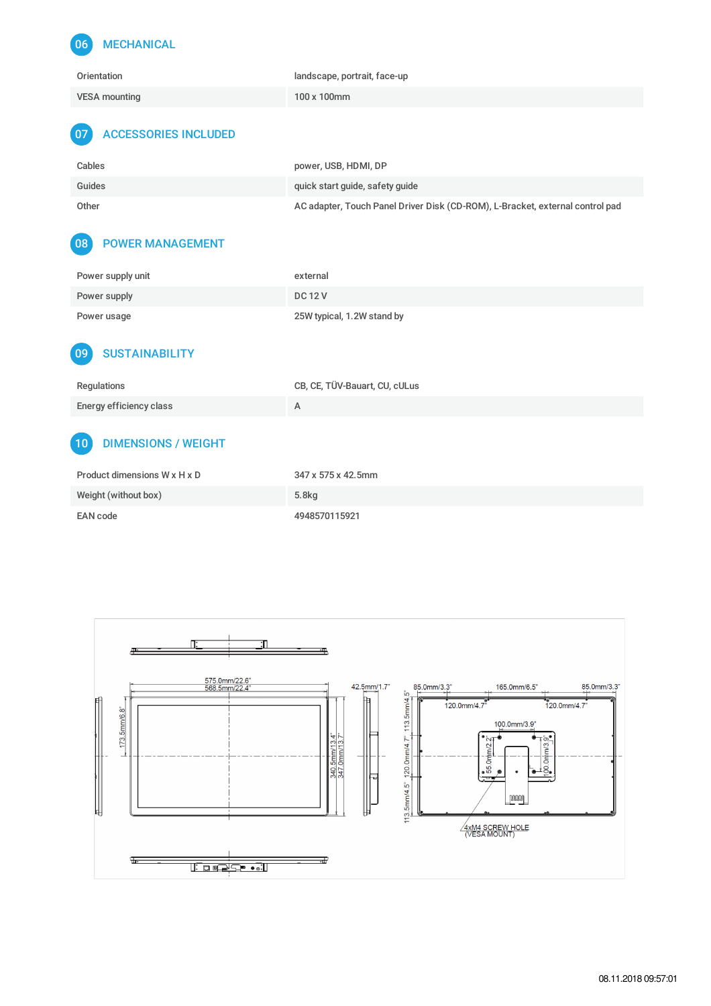## 06 MECHANICAL

| Orientation          | landscape, portrait, face-up |
|----------------------|------------------------------|
| <b>VESA mounting</b> | 100 x 100mm                  |

#### 07 ACCESSORIES INCLUDED

| Cables | power, USB, HDMI, DP                                                          |
|--------|-------------------------------------------------------------------------------|
| Guides | quick start quide, safety quide                                               |
| Other  | AC adapter, Touch Panel Driver Disk (CD-ROM), L-Bracket, external control pad |

#### 08 POWER MANAGEMENT

| Power supply unit | external                   |
|-------------------|----------------------------|
| Power supply      | <b>DC12V</b>               |
| Power usage       | 25W typical, 1.2W stand by |

#### 09 SUSTAINABILITY

| Regulations             | CB, CE, TÜV-Bauart, CU, cULus |
|-------------------------|-------------------------------|
| Energy efficiency class |                               |

### 10 DIMENSIONS / WEIGHT

| Product dimensions W x H x D | 347 x 575 x 42.5mm |
|------------------------------|--------------------|
| Weight (without box)         | 5.8 <sub>kq</sub>  |
| EAN code                     | 4948570115921      |